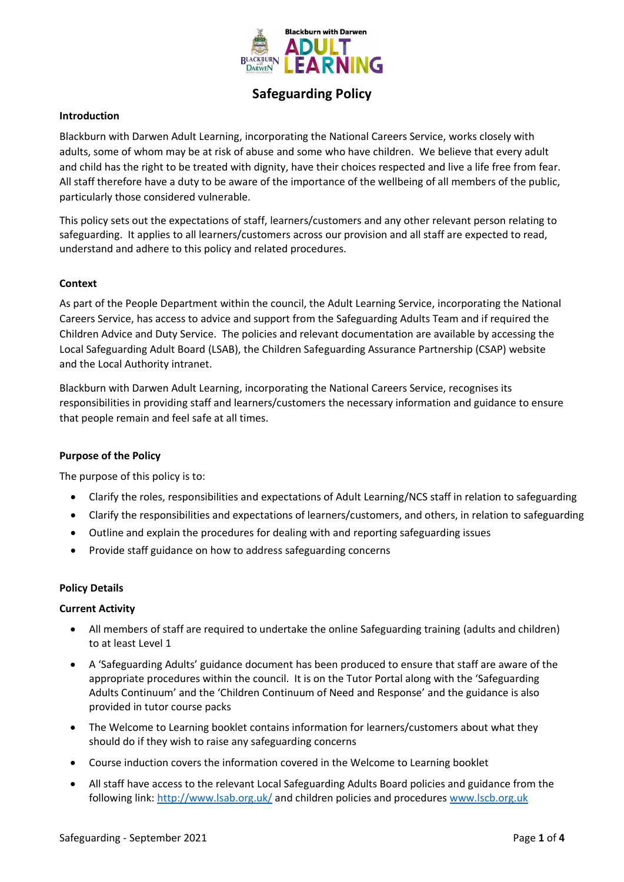

# **Safeguarding Policy**

## **Introduction**

Blackburn with Darwen Adult Learning, incorporating the National Careers Service, works closely with adults, some of whom may be at risk of abuse and some who have children. We believe that every adult and child has the right to be treated with dignity, have their choices respected and live a life free from fear. All staff therefore have a duty to be aware of the importance of the wellbeing of all members of the public, particularly those considered vulnerable.

This policy sets out the expectations of staff, learners/customers and any other relevant person relating to safeguarding. It applies to all learners/customers across our provision and all staff are expected to read, understand and adhere to this policy and related procedures.

## **Context**

As part of the People Department within the council, the Adult Learning Service, incorporating the National Careers Service, has access to advice and support from the Safeguarding Adults Team and if required the Children Advice and Duty Service. The policies and relevant documentation are available by accessing the Local Safeguarding Adult Board (LSAB), the Children Safeguarding Assurance Partnership (CSAP) website and the Local Authority intranet.

Blackburn with Darwen Adult Learning, incorporating the National Careers Service, recognises its responsibilities in providing staff and learners/customers the necessary information and guidance to ensure that people remain and feel safe at all times.

#### **Purpose of the Policy**

The purpose of this policy is to:

- Clarify the roles, responsibilities and expectations of Adult Learning/NCS staff in relation to safeguarding
- Clarify the responsibilities and expectations of learners/customers, and others, in relation to safeguarding
- Outline and explain the procedures for dealing with and reporting safeguarding issues
- Provide staff guidance on how to address safeguarding concerns

## **Policy Details**

#### **Current Activity**

- All members of staff are required to undertake the online Safeguarding training (adults and children) to at least Level 1
- A 'Safeguarding Adults' guidance document has been produced to ensure that staff are aware of the appropriate procedures within the council. It is on the Tutor Portal along with the 'Safeguarding Adults Continuum' and the 'Children Continuum of Need and Response' and the guidance is also provided in tutor course packs
- The Welcome to Learning booklet contains information for learners/customers about what they should do if they wish to raise any safeguarding concerns
- Course induction covers the information covered in the Welcome to Learning booklet
- All staff have access to the relevant Local Safeguarding Adults Board policies and guidance from the following link:<http://www.lsab.org.uk/> and children policies and procedures [www.lscb.org.uk](http://www.lscb.org.uk/)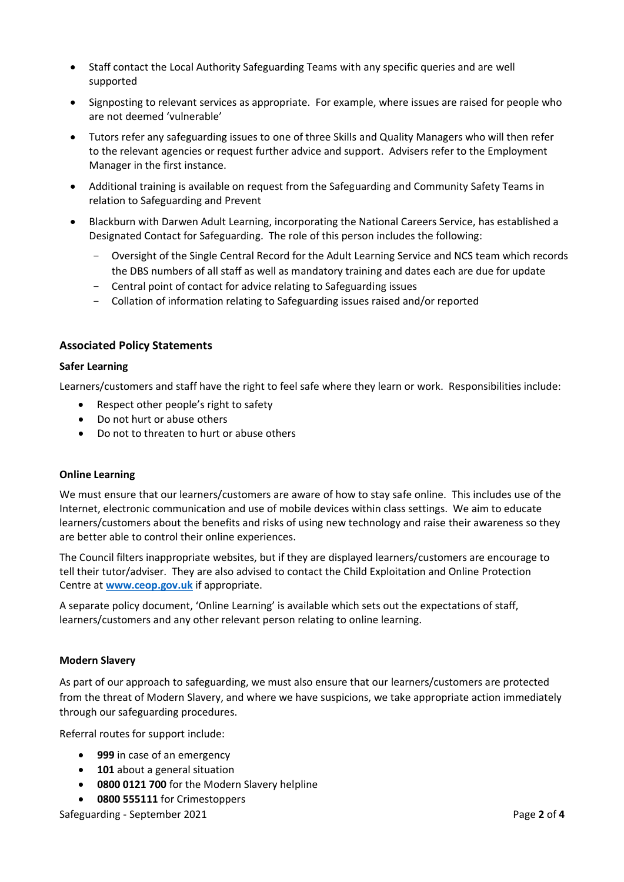- Staff contact the Local Authority Safeguarding Teams with any specific queries and are well supported
- Signposting to relevant services as appropriate. For example, where issues are raised for people who are not deemed 'vulnerable'
- Tutors refer any safeguarding issues to one of three Skills and Quality Managers who will then refer to the relevant agencies or request further advice and support. Advisers refer to the Employment Manager in the first instance.
- Additional training is available on request from the Safeguarding and Community Safety Teams in relation to Safeguarding and Prevent
- Blackburn with Darwen Adult Learning, incorporating the National Careers Service, has established a Designated Contact for Safeguarding. The role of this person includes the following:
	- Oversight of the Single Central Record for the Adult Learning Service and NCS team which records the DBS numbers of all staff as well as mandatory training and dates each are due for update
	- Central point of contact for advice relating to Safeguarding issues
	- Collation of information relating to Safeguarding issues raised and/or reported

## **Associated Policy Statements**

## **Safer Learning**

Learners/customers and staff have the right to feel safe where they learn or work. Responsibilities include:

- Respect other people's right to safety
- Do not hurt or abuse others
- Do not to threaten to hurt or abuse others

## **Online Learning**

We must ensure that our learners/customers are aware of how to stay safe online. This includes use of the Internet, electronic communication and use of mobile devices within class settings. We aim to educate learners/customers about the benefits and risks of using new technology and raise their awareness so they are better able to control their online experiences.

The Council filters inappropriate websites, but if they are displayed learners/customers are encourage to tell their tutor/adviser. They are also advised to contact the Child Exploitation and Online Protection Centre at **[www.ceop.gov.uk](http://www.ceop.gov.uk/)** if appropriate.

A separate policy document, 'Online Learning' is available which sets out the expectations of staff, learners/customers and any other relevant person relating to online learning.

#### **Modern Slavery**

As part of our approach to safeguarding, we must also ensure that our learners/customers are protected from the threat of Modern Slavery, and where we have suspicions, we take appropriate action immediately through our safeguarding procedures.

Referral routes for support include:

- **999** in case of an emergency
- **101** about a general situation
- **0800 0121 700** for the Modern Slavery helpline
- **0800 555111** for Crimestoppers

Safeguarding - September 2021 **Page 2** of 4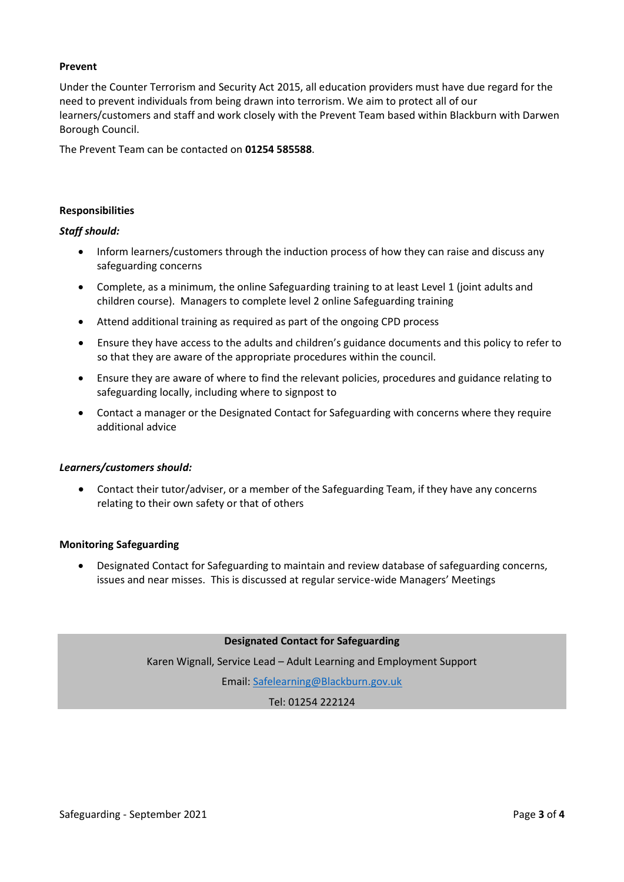## **Prevent**

Under the Counter Terrorism and Security Act 2015, all education providers must have due regard for the need to prevent individuals from being drawn into terrorism. We aim to protect all of our learners/customers and staff and work closely with the Prevent Team based within Blackburn with Darwen Borough Council.

The Prevent Team can be contacted on **01254 585588**.

## **Responsibilities**

## *Staff should:*

- Inform learners/customers through the induction process of how they can raise and discuss any safeguarding concerns
- Complete, as a minimum, the online Safeguarding training to at least Level 1 (joint adults and children course). Managers to complete level 2 online Safeguarding training
- Attend additional training as required as part of the ongoing CPD process
- Ensure they have access to the adults and children's guidance documents and this policy to refer to so that they are aware of the appropriate procedures within the council.
- Ensure they are aware of where to find the relevant policies, procedures and guidance relating to safeguarding locally, including where to signpost to
- Contact a manager or the Designated Contact for Safeguarding with concerns where they require additional advice

#### *Learners/customers should:*

• Contact their tutor/adviser, or a member of the Safeguarding Team, if they have any concerns relating to their own safety or that of others

#### **Monitoring Safeguarding**

• Designated Contact for Safeguarding to maintain and review database of safeguarding concerns, issues and near misses. This is discussed at regular service-wide Managers' Meetings

**Designated Contact for Safeguarding**

Karen Wignall, Service Lead – Adult Learning and Employment Support

Email[: Safelearning@Blackburn.gov.uk](mailto:Safelearning@Blackburn.gov.uk)

Tel: 01254 222124